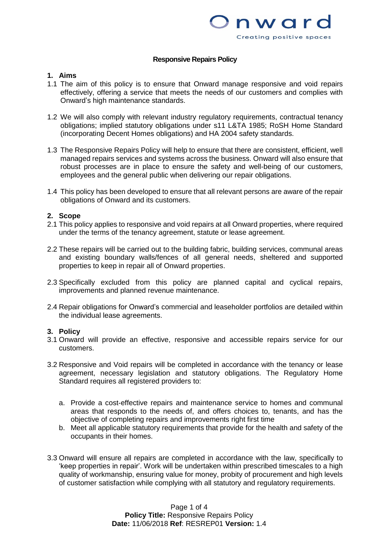

## **Responsive Repairs Policy**

# **1. Aims**

- 1.1 The aim of this policy is to ensure that Onward manage responsive and void repairs effectively, offering a service that meets the needs of our customers and complies with Onward's high maintenance standards.
- 1.2 We will also comply with relevant industry regulatory requirements, contractual tenancy obligations; implied statutory obligations under s11 L&TA 1985; RoSH Home Standard (incorporating Decent Homes obligations) and HA 2004 safety standards.
- 1.3 The Responsive Repairs Policy will help to ensure that there are consistent, efficient, well managed repairs services and systems across the business. Onward will also ensure that robust processes are in place to ensure the safety and well-being of our customers, employees and the general public when delivering our repair obligations.
- 1.4 This policy has been developed to ensure that all relevant persons are aware of the repair obligations of Onward and its customers.

## **2. Scope**

- 2.1 This policy applies to responsive and void repairs at all Onward properties, where required under the terms of the tenancy agreement, statute or lease agreement.
- 2.2 These repairs will be carried out to the building fabric, building services, communal areas and existing boundary walls/fences of all general needs, sheltered and supported properties to keep in repair all of Onward properties.
- 2.3 Specifically excluded from this policy are planned capital and cyclical repairs, improvements and planned revenue maintenance.
- 2.4 Repair obligations for Onward's commercial and leaseholder portfolios are detailed within the individual lease agreements.

## **3. Policy**

- 3.1 Onward will provide an effective, responsive and accessible repairs service for our customers.
- 3.2 Responsive and Void repairs will be completed in accordance with the tenancy or lease agreement, necessary legislation and statutory obligations. The Regulatory Home Standard requires all registered providers to:
	- a. Provide a cost-effective repairs and maintenance service to homes and communal areas that responds to the needs of, and offers choices to, tenants, and has the objective of completing repairs and improvements right first time
	- b. Meet all applicable statutory requirements that provide for the health and safety of the occupants in their homes.
- 3.3 Onward will ensure all repairs are completed in accordance with the law, specifically to 'keep properties in repair'. Work will be undertaken within prescribed timescales to a high quality of workmanship, ensuring value for money, probity of procurement and high levels of customer satisfaction while complying with all statutory and regulatory requirements.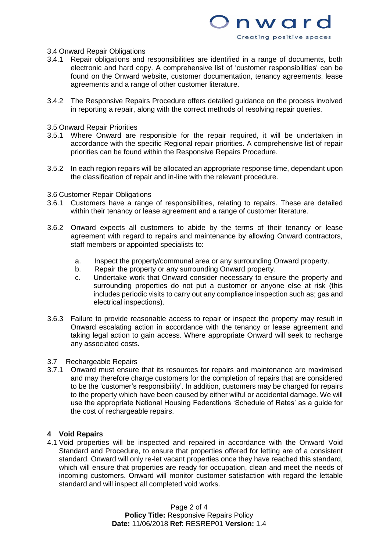

## 3.4 Onward Repair Obligations

- 3.4.1 Repair obligations and responsibilities are identified in a range of documents, both electronic and hard copy. A comprehensive list of 'customer responsibilities' can be found on the Onward website, customer documentation, tenancy agreements, lease agreements and a range of other customer literature.
- 3.4.2 The Responsive Repairs Procedure offers detailed guidance on the process involved in reporting a repair, along with the correct methods of resolving repair queries.
- 3.5 Onward Repair Priorities
- 3.5.1 Where Onward are responsible for the repair required, it will be undertaken in accordance with the specific Regional repair priorities. A comprehensive list of repair priorities can be found within the Responsive Repairs Procedure.
- 3.5.2 In each region repairs will be allocated an appropriate response time, dependant upon the classification of repair and in-line with the relevant procedure.
- 3.6 Customer Repair Obligations
- 3.6.1 Customers have a range of responsibilities, relating to repairs. These are detailed within their tenancy or lease agreement and a range of customer literature.
- 3.6.2 Onward expects all customers to abide by the terms of their tenancy or lease agreement with regard to repairs and maintenance by allowing Onward contractors, staff members or appointed specialists to:
	- a. Inspect the property/communal area or any surrounding Onward property.
	- b. Repair the property or any surrounding Onward property.
	- c. Undertake work that Onward consider necessary to ensure the property and surrounding properties do not put a customer or anyone else at risk (this includes periodic visits to carry out any compliance inspection such as; gas and electrical inspections).
- 3.6.3 Failure to provide reasonable access to repair or inspect the property may result in Onward escalating action in accordance with the tenancy or lease agreement and taking legal action to gain access. Where appropriate Onward will seek to recharge any associated costs.
- 3.7 Rechargeable Repairs
- 3.7.1 Onward must ensure that its resources for repairs and maintenance are maximised and may therefore charge customers for the completion of repairs that are considered to be the 'customer's responsibility'. In addition, customers may be charged for repairs to the property which have been caused by either wilful or accidental damage. We will use the appropriate National Housing Federations 'Schedule of Rates' as a guide for the cost of rechargeable repairs.

# **4 Void Repairs**

4.1 Void properties will be inspected and repaired in accordance with the Onward Void Standard and Procedure, to ensure that properties offered for letting are of a consistent standard. Onward will only re-let vacant properties once they have reached this standard, which will ensure that properties are ready for occupation, clean and meet the needs of incoming customers. Onward will monitor customer satisfaction with regard the lettable standard and will inspect all completed void works.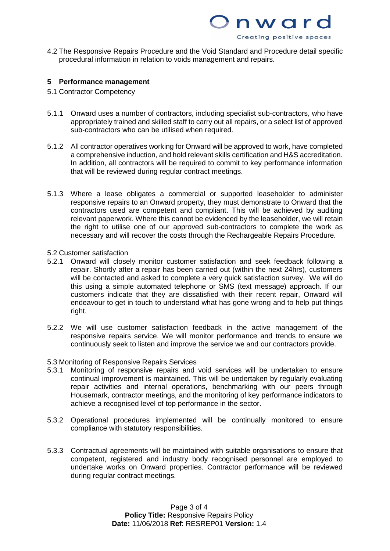

nward

Creating positive spaces

## **5 Performance management**

- 5.1 Contractor Competency
- 5.1.1 Onward uses a number of contractors, including specialist sub-contractors, who have appropriately trained and skilled staff to carry out all repairs, or a select list of approved sub-contractors who can be utilised when required.
- 5.1.2 All contractor operatives working for Onward will be approved to work, have completed a comprehensive induction, and hold relevant skills certification and H&S accreditation. In addition, all contractors will be required to commit to key performance information that will be reviewed during regular contract meetings.
- 5.1.3 Where a lease obligates a commercial or supported leaseholder to administer responsive repairs to an Onward property, they must demonstrate to Onward that the contractors used are competent and compliant. This will be achieved by auditing relevant paperwork. Where this cannot be evidenced by the leaseholder, we will retain the right to utilise one of our approved sub-contractors to complete the work as necessary and will recover the costs through the Rechargeable Repairs Procedure.

#### 5.2 Customer satisfaction

- 5.2.1 Onward will closely monitor customer satisfaction and seek feedback following a repair. Shortly after a repair has been carried out (within the next 24hrs), customers will be contacted and asked to complete a very quick satisfaction survey. We will do this using a simple automated telephone or SMS (text message) approach. If our customers indicate that they are dissatisfied with their recent repair, Onward will endeavour to get in touch to understand what has gone wrong and to help put things right.
- 5.2.2 We will use customer satisfaction feedback in the active management of the responsive repairs service. We will monitor performance and trends to ensure we continuously seek to listen and improve the service we and our contractors provide.

## 5.3 Monitoring of Responsive Repairs Services

- 5.3.1 Monitoring of responsive repairs and void services will be undertaken to ensure continual improvement is maintained. This will be undertaken by regularly evaluating repair activities and internal operations, benchmarking with our peers through Housemark, contractor meetings, and the monitoring of key performance indicators to achieve a recognised level of top performance in the sector.
- 5.3.2 Operational procedures implemented will be continually monitored to ensure compliance with statutory responsibilities.
- 5.3.3 Contractual agreements will be maintained with suitable organisations to ensure that competent, registered and industry body recognised personnel are employed to undertake works on Onward properties. Contractor performance will be reviewed during regular contract meetings.